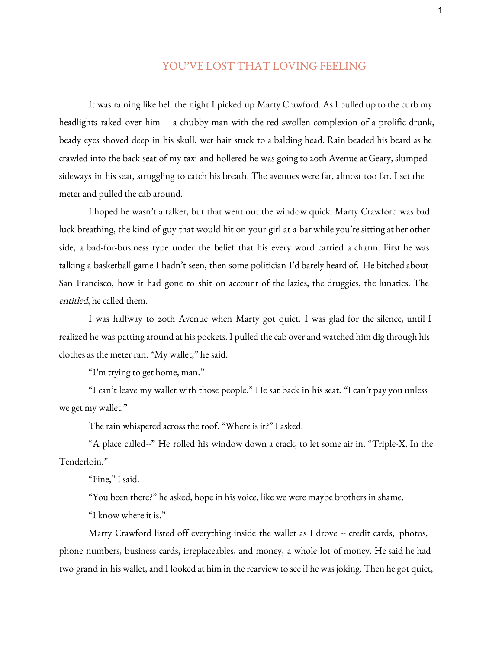## YOU'VE LOST THAT LOVING FEELING

It was raining like hell the night I picked up Marty Crawford. As I pulled up to thecurb my headlights raked over him -- a chubby man with the red swollen complexion of a prolific drunk, beady eyes shoved deep in his skull, wet hair stuck to a balding head. Rain beaded his beard as he crawled into the back seat of my taxi and hollered he was going to 20th Avenueat Geary, slumped sideways in his seat, struggling to catch his breath. The avenues were far, almost too far. I set the meter and pulled the cab around.

I hoped he wasn't a talker, but that went out the window quick. Marty Crawford was bad luck breathing, the kind of guy that would hit on your girl at a bar while you're sitting at her other side, a bad-for-business type under the belief that his every word carried a charm. First he was talking a basketball game I hadn't seen, then some politician I'd barely heard of. He bitched about San Francisco, how it had gone to shit on account of the lazies, the druggies, the lunatics. The entitled, he called them.

I was halfway to 20th Avenue when Marty got quiet. I was glad for the silence, until I realized he was patting around at his pockets. I pulled thecab overand watched him dig through his clothes as the meter ran. "My wallet," he said.

"I'm trying to get home, man."

"I can't leave my wallet with those people." He sat back in his seat. "Ican't pay you unless we get my wallet."

The rain whispered across the roof. "Where is it?" I asked.

"A place called--" He rolled his window down a crack, to let some air in. "Triple-X. In the Tenderloin."

"Fine," I said.

"You been there?" he asked, hope in his voice, like we were maybe brothers in shame.

"I know where it is."

Marty Crawford listed off everything inside the wallet as I drove -- credit cards, photos, phone numbers, business cards, irreplaceables, and money, a whole lot of money. He said he had two grand in his wallet, and I looked at him in the rearview to see if he was joking. Then he got quiet,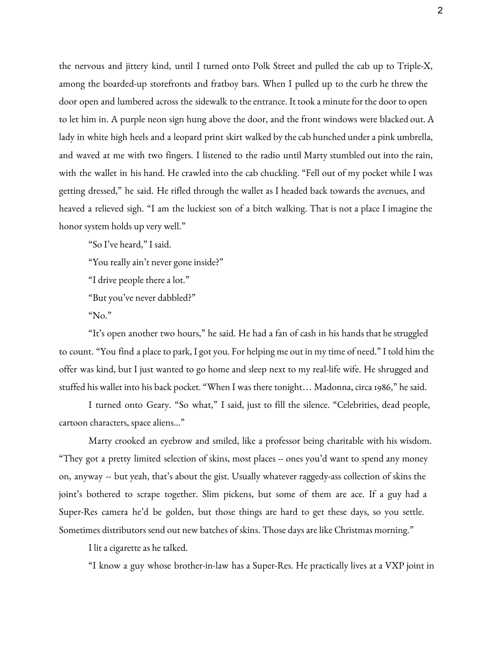the nervous and jittery kind, until I turned onto Polk Street and pulled the cab up to Triple-X, among the boarded-up storefronts and fratboy bars. When I pulled up to the curb he threw the door open and lumbered across the sidewalk to the entrance. It took a minute for the door to open to let him in. A purple neon sign hung above the door, and the front windows were blacked out. A lady in white high heels and a leopard print skirt walked by the cab hunched under a pink umbrella, and waved at me with two fingers. I listened to the radio until Marty stumbled out into the rain, with the wallet in his hand. He crawled into the cab chuckling. "Fell out of my pocket while I was getting dressed," he said. He rifled through the wallet as I headed back towards the avenues, and heaved a relieved sigh. "I am the luckiest son of a bitch walking. That is not a place I imagine the honor system holds up very well."

"So I've heard," I said.

"You really ain't never gone inside?"

"I drive people there a lot."

"But you've never dabbled?"

"No."

"It's open another two hours," he said. He had a fan of cash in his hands that hestruggled to count. "You find a place to park, I got you. For helping me out in my time of need." I told him the offer was kind, but I just wanted to go home and sleep next to my real-life wife. He shrugged and stuffed his wallet into his back pocket. "When I was there tonight… Madonna, circa 1986," he said.

I turned onto Geary. "So what," I said, just to fill the silence. "Celebrities, dead people, cartoon characters, space aliens..."

Marty crooked an eyebrow and smiled, like a professor being charitable with his wisdom. "They got a pretty limited selection of skins, most places -- ones you'd want to spend any money on, anyway -- but yeah, that's about the gist. Usually whatever raggedy-ass collection of skins the joint's bothered to scrape together. Slim pickens, but some of them are ace. If a guy had a Super-Res camera he'd be golden, but those things are hard to get these days, so you settle. Sometimes distributors send out new batches of skins. Those days are like Christmas morning."

I lit a cigarette as he talked.

"I know a guy whose brother-in-law has a Super-Res. He practically lives at a VXP joint in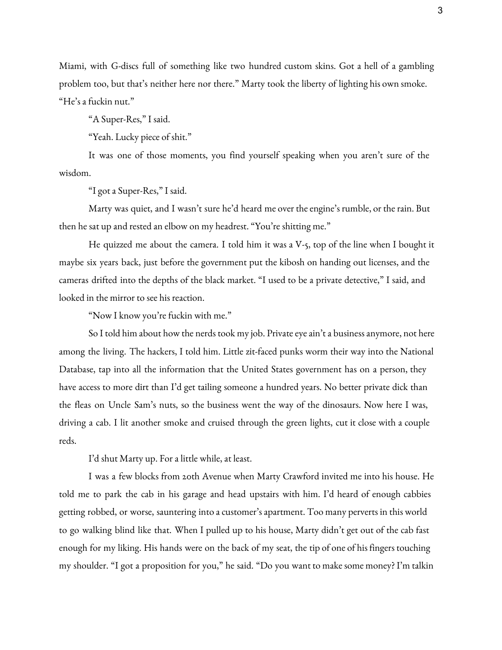Miami, with G-discs full of something like two hundred custom skins. Got a hell of a gambling problem too, but that's neither here nor there." Marty took the liberty of lighting his own smoke. "He's a fuckin nut."

"A Super-Res," I said.

"Yeah. Lucky piece of shit."

It was one of those moments, you find yourself speaking when you aren't sure of the wisdom.

"I got a Super-Res," I said.

Marty was quiet, and I wasn't sure he'd heard me over the engine's rumble, or the rain. But then he sat up and rested an elbow on my headrest. "You're shitting me."

He quizzed me about the camera. I told him it was a V-5, top of the line when I bought it maybe six years back, just before the government put the kibosh on handing out licenses, and the cameras drifted into the depths of the black market. "I used to be a private detective," I said, and looked in the mirror to see his reaction.

"Now I know you're fuckin with me."

So I told him about how the nerds took my job. Private eye ain't a business anymore, not here among the living. The hackers, I told him. Little zit-faced punks worm their way into the National Database, tap into all the information that the United States government has on a person, they have access to more dirt than I'd get tailing someone a hundred years. No better private dick than the fleas on Uncle Sam's nuts, so the business went the way of the dinosaurs. Now here I was, driving a cab. I lit another smoke and cruised through the green lights, cut it close with a couple reds.

I'd shut Marty up. For a little while, at least.

I was a few blocks from 20th Avenue when Marty Crawford invited me into his house. He told me to park the cab in his garage and head upstairs with him. I'd heard of enough cabbies getting robbed, or worse, sauntering into a customer's apartment. Too many perverts in this world to go walking blind like that. When I pulled up to his house, Marty didn't get out of the cab fast enough for my liking. His hands were on the back of my seat, the tip of one of his fingers touching my shoulder. "I got a proposition for you," he said. "Do you want to makesome money? I'm talkin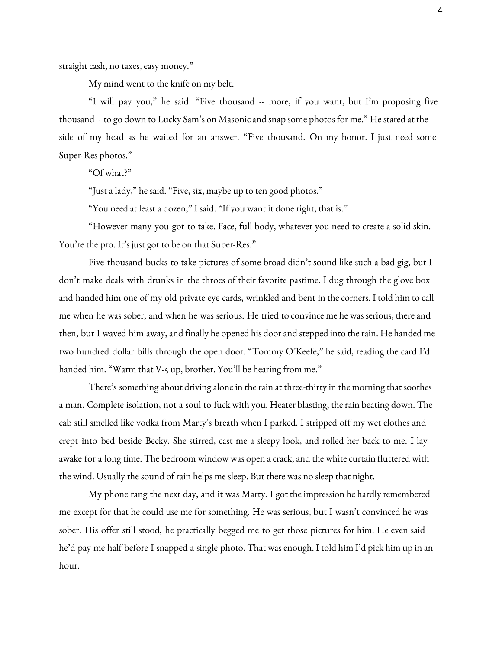straight cash, no taxes, easy money."

My mind went to the knife on my belt.

"I will pay you," he said. "Five thousand -- more, if you want, but I'm proposing five thousand -- to go down to Lucky Sam's on Masonicand snap some photos for me." Hestared at the side of my head as he waited for an answer. "Five thousand. On my honor. I just need some Super-Res photos."

"Of what?"

"Just a lady," he said. "Five, six, maybe up to ten good photos."

"You need at least a dozen," I said. "If you want it done right, that is."

"However many you got to take. Face, full body, whatever you need to create a solid skin. You're the pro. It's just got to be on that Super-Res."

Five thousand bucks to take pictures of some broad didn't sound like such a bad gig, but I don't make deals with drunks in the throes of their favorite pastime. I dug through the glove box and handed him one of my old private eye cards, wrinkled and bent in the corners. I told him to call me when he was sober, and when he was serious. He tried to convince me he was serious, there and then, but I waved him away, and finally he opened his door and stepped into the rain. He handed me two hundred dollar bills through the open door. "Tommy O'Keefe," he said, reading the card I'd handed him. "Warm that V-5 up, brother. You'll be hearing from me."

There's something about driving alone in the rain at three-thirty in the morning that soothes a man. Complete isolation, not a soul to fuck with you. Heater blasting, therain beating down. The cab still smelled like vodka from Marty's breath when I parked. I stripped off my wet clothes and crept into bed beside Becky. She stirred, cast me a sleepy look, and rolled her back to me. I lay awake for a long time. The bedroom window was open a crack, and the white curtain fluttered with the wind. Usually the sound of rain helps me sleep. But there was no sleep that night.

My phone rang the next day, and it was Marty. I got the impression he hardly remembered me except for that he could use me for something. He was serious, but I wasn't convinced he was sober. His offer still stood, he practically begged me to get those pictures for him. He even said he'd pay me half before I snapped a single photo. That wasenough. I told him I'd pick him up in an hour.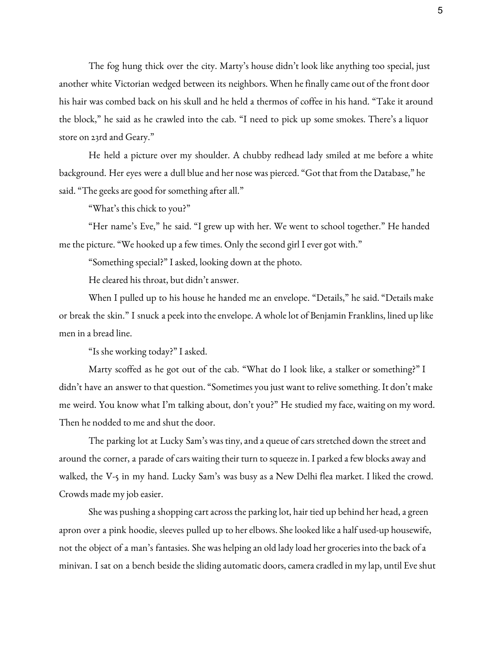The fog hung thick over the city. Marty's house didn't look like anything too special, just another white Victorian wedged between its neighbors. When he finally came out of the front door his hair was combed back on his skull and he held a thermos of coffee in his hand. "Take it around the block," he said as he crawled into the cab. "I need to pick up some smokes. There's a liquor store on 23rd and Geary."

He held a picture over my shoulder. A chubby redhead lady smiled at me before a white background. Her eyes were a dull blue and her nose was pierced. "Got that from the Database," he said. "The geeks are good for something after all."

"What's this chick to you?"

"Her name's Eve," he said. "I grew up with her. We went to school together." He handed me the picture. "We hooked up a few times. Only the second girl I ever got with."

"Something special?" I asked, looking down at the photo.

He cleared his throat, but didn't answer.

When I pulled up to his house he handed me an envelope. "Details," he said. "Details make or break the skin." I snuck a peek into the envelope. A whole lot of Benjamin Franklins, lined up like men in a bread line.

"Is she working today?" I asked.

Marty scoffed as he got out of the cab. "What do I look like, a stalker or something?" I didn't have an answer to that question. "Sometimes you just want to relive something. It don't make me weird. You know what I'm talking about, don't you?" He studied my face, waiting on my word. Then he nodded to me and shut the door.

The parking lot at Lucky Sam's was tiny, and a queue of cars stretched down the street and around the corner, a parade of cars waiting their turn to squeeze in. I parked a few blocks away and walked, the V-5 in my hand. Lucky Sam's was busy as a New Delhi flea market. I liked the crowd. Crowds made my job easier.

She was pushing a shopping cart across the parking lot, hair tied up behind her head, a green apron over a pink hoodie, sleeves pulled up to her elbows. She looked like a half used-up housewife, not the object of a man's fantasies. She was helping an old lady load her groceries into the back ofa minivan. I sat on a bench beside the sliding automatic doors, camera cradled in my lap, until Eve shut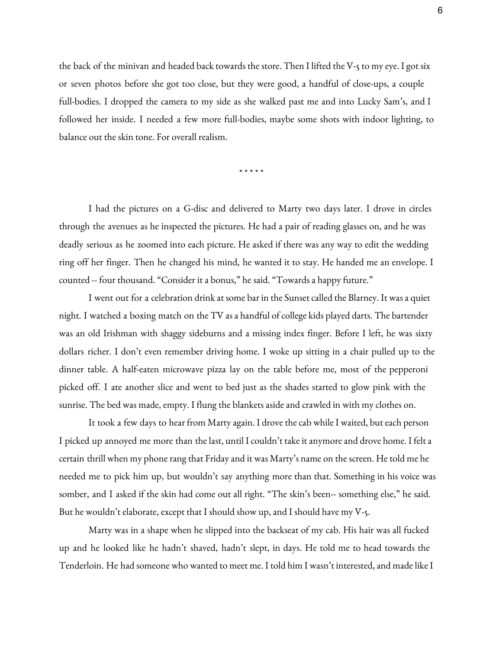the back of the minivan and headed back towards the store. Then I lifted the V-5 to my eye. I got six or seven photos before she got too close, but they were good, a handful of close-ups, a couple full-bodies. I dropped the camera to my side as she walked past me and into Lucky Sam's, and I followed her inside. I needed a few more full-bodies, maybe some shots with indoor lighting, to balance out the skin tone. For overall realism.

\* \* \* \* \*

I had the pictures on a G-disc and delivered to Marty two days later. I drove in circles through the avenues as he inspected the pictures. He had a pair of reading glasses on, and he was deadly serious as he zoomed into each picture. He asked if there was any way to edit the wedding ring off her finger. Then he changed his mind, he wanted it to stay. He handed me an envelope. I counted -- four thousand. "Consider it a bonus," he said. "Towards a happy future."

I went out for a celebration drink at some bar in the Sunset called the Blarney. It was a quiet night. I watched a boxing match on the TV asa handful ofcollege kids played darts. The bartender was an old Irishman with shaggy sideburns and a missing index finger. Before I left, he was sixty dollars richer. I don't even remember driving home. I woke up sitting in a chair pulled up to the dinner table. A half-eaten microwave pizza lay on the table before me, most of the pepperoni picked off. I ate another slice and went to bed just as the shades started to glow pink with the sunrise. The bed was made, empty. I flung the blankets aside and crawled in with my clothes on.

It took a few days to hear from Marty again. I drove the cab while I waited, but each person I picked up annoyed me more than the last, until I couldn't take it anymore and drove home. I felt a certain thrill when my phone rang that Friday and it was Marty's name on the screen. He told me he needed me to pick him up, but wouldn't say anything more than that. Something in his voice was somber, and I asked if the skin had come out all right. "The skin's been-- something else," he said. But he wouldn't elaborate, except that I should show up, and I should have my V-5.

Marty was in a shape when he slipped into the backseat of my cab. His hair was all fucked up and he looked like he hadn't shaved, hadn't slept, in days. He told me to head towards the Tenderloin. He had someone who wanted to meet me. I told him I wasn't interested, and made like I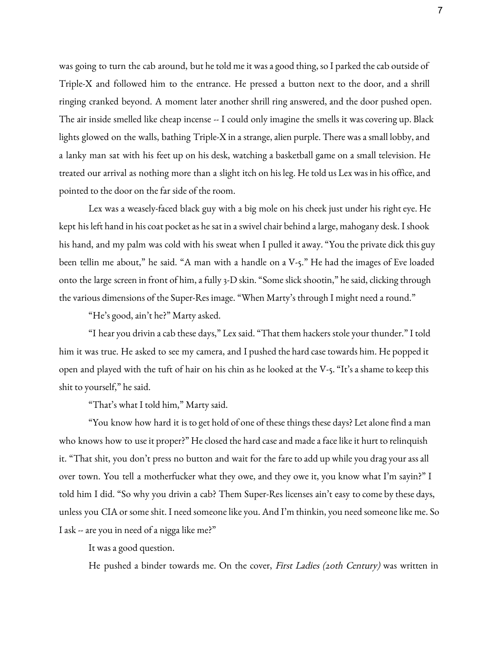was going to turn the cab around, but he told me it was a good thing, so I parked the cab outside of Triple-X and followed him to the entrance. He pressed a button next to the door, and a shrill ringing cranked beyond. A moment later another shrill ring answered, and the door pushed open. The air inside smelled like cheap incense -- I could only imagine the smells it was covering up. Black lights glowed on the walls, bathing Triple-X in a strange, alien purple. There was a small lobby, and a lanky man sat with his feet up on his desk, watching a basketball game on a small television. He treated our arrival as nothing more than a slight itch on his leg. He told us Lex was in his office, and pointed to the door on the far side of the room.

Lex was a weasely-faced black guy with a big mole on his cheek just under his right eye. He kept his left hand in his coat pocket as he sat in a swivel chair behind a large, mahogany desk. I shook his hand, and my palm was cold with his sweat when I pulled it away. "You the private dick this guy been tellin me about," he said. "A man with a handle on a V-5." He had the images of Eve loaded onto the large screen in front of him, a fully 3-D skin. "Some slick shootin," he said, clicking through the various dimensions of the Super-Res image. "When Marty's through I might need a round."

"He's good, ain't he?" Marty asked.

"I hear you drivin acab these days," Lex said. "That them hackers stole your thunder." I told him it was true. He asked to see my camera, and I pushed the hard case towards him. He popped it open and played with the tuft of hair on his chin as he looked at the V-5. "It's a shame to keep this shit to yourself," he said.

"That's what I told him," Marty said.

"You know how hard it is to get hold of one of these things these days? Let alone find a man who knows how to use it proper?" He closed the hard case and made a face like it hurt to relinquish it. "That shit, you don't press no button and wait for the fare to add up while you drag your ass all over town. You tell a motherfucker what they owe, and they owe it, you know what I'm sayin?" I told him I did. "So why you drivin a cab? Them Super-Res licenses ain't easy to come by these days, unless you CIA or some shit. I need someone like you. And I'm thinkin, you need someone like me. So I ask -- are you in need of a nigga like me?"

It was a good question.

He pushed a binder towards me. On the cover, First Ladies (20th Century) was written in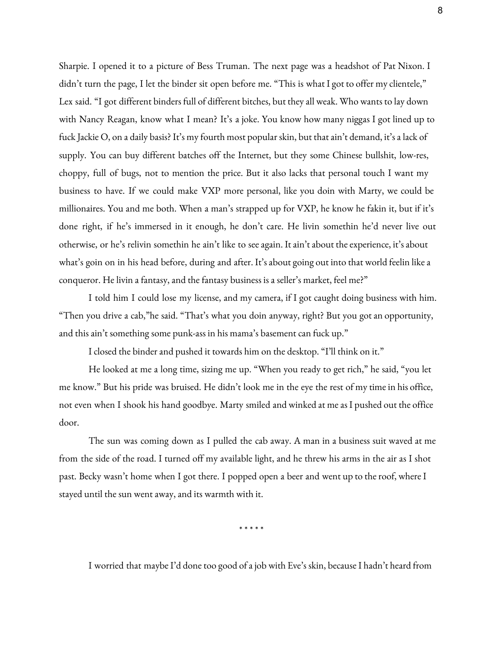Sharpie. I opened it to a picture of Bess Truman. The next page was a headshot of Pat Nixon. I didn't turn the page, I let the binder sit open before me. "This is what I got to offer my clientele," Lex said. "I got different binders full of different bitches, but they all weak. Who wants to lay down with Nancy Reagan, know what I mean? It's a joke. You know how many niggas I got lined up to fuck Jackie O, on a daily basis? It's my fourth most popular skin, but that ain't demand, it's a lack of supply. You can buy different batches off the Internet, but they some Chinese bullshit, low-res, choppy, full of bugs, not to mention the price. But it also lacks that personal touch I want my business to have. If we could make VXP more personal, like you doin with Marty, we could be millionaires. You and me both. When a man's strapped up for VXP, he know he fakin it, but if it's done right, if he's immersed in it enough, he don't care. He livin somethin he'd never live out otherwise, or he's relivin somethin he ain't like to seeagain. Itain'tabout theexperience, it'sabout what's goin on in his head before, during and after. It's about going out into that world feelin like a conqueror. He livin a fantasy, and the fantasy business is a seller's market, feel me?"

I told him I could lose my license, and my camera, if I got caught doing business with him. "Then you drive a cab,"he said. "That's what you doin anyway, right? But you gotan opportunity, and this ain't something some punk-ass in his mama's basement can fuck up."

I closed the binder and pushed it towards him on the desktop. "I'll think on it."

He looked at me a long time, sizing me up. "When you ready to get rich," he said, "you let me know." But his pride was bruised. He didn't look me in the eye the rest of my time in his office, not even when I shook his hand goodbye. Marty smiled and winked at me as I pushed out the office door.

The sun was coming down as I pulled the cab away. A man in a business suit waved at me from the side of the road. I turned off my available light, and he threw his arms in the air as I shot past. Becky wasn't home when I got there. I popped open a beer and went up to the roof, where I stayed until the sun went away, and its warmth with it.

\* \* \* \* \*

I worried that maybe I'd done too good of a job with Eve's skin, because I hadn't heard from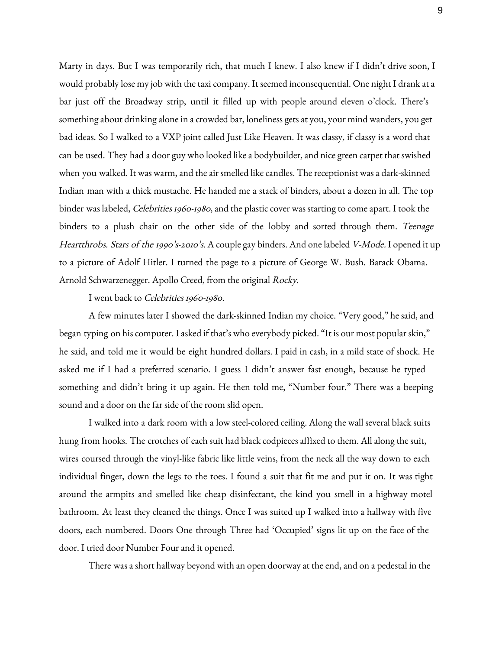Marty in days. But I was temporarily rich, that much I knew. I also knew if I didn't drive soon, I would probably lose my job with the taxi company. It seemed inconsequential. One night I drank at a bar just off the Broadway strip, until it filled up with people around eleven o'clock. There's something about drinking alone in a crowded bar, loneliness gets at you, your mind wanders, you get bad ideas. So I walked to a VXP joint called Just Like Heaven. It was classy, if classy is a word that can be used. They had a door guy who looked like a bodybuilder, and nice green carpet that swished when you walked. It was warm, and the air smelled like candles. The receptionist was a dark-skinned Indian man with a thick mustache. He handed me a stack of binders, about a dozen in all. The top binder was labeled, Celebrities 1960-1980, and the plastic cover was starting to come apart. I took the binders to a plush chair on the other side of the lobby and sorted through them. Teenage Heartthrobs. Stars of the 1990's-2010's. A couple gay binders. And one labeled V-Mode. I opened it up to a picture of Adolf Hitler. I turned the page to a picture of George W. Bush. Barack Obama. Arnold Schwarzenegger. Apollo Creed, from the original Rocky.

## I went back to Celebrities 1960-1980.

A few minutes later I showed the dark-skinned Indian my choice. "Very good," hesaid,and began typing on his computer. I asked if that's who everybody picked. "It is our most popular skin," he said, and told me it would be eight hundred dollars. I paid in cash, in a mild state of shock. He asked me if I had a preferred scenario. I guess I didn't answer fast enough, because he typed something and didn't bring it up again. He then told me, "Number four." There was a beeping sound and a door on the far side of the room slid open.

I walked into a dark room with a low steel-colored ceiling. Along the wall several black suits hung from hooks. The crotches of each suit had black codpieces affixed to them. All along the suit, wires coursed through the vinyl-like fabric like little veins, from the neck all the way down to each individual finger, down the legs to the toes. I found a suit that fit me and put it on. It was tight around the armpits and smelled like cheap disinfectant, the kind you smell in a highway motel bathroom. At least they cleaned the things. Once I was suited up I walked into a hallway with five doors, each numbered. Doors One through Three had 'Occupied' signs lit up on the face of the door. I tried door Number Four and it opened.

There was a short hallway beyond with an open doorway at the end, and on a pedestal in the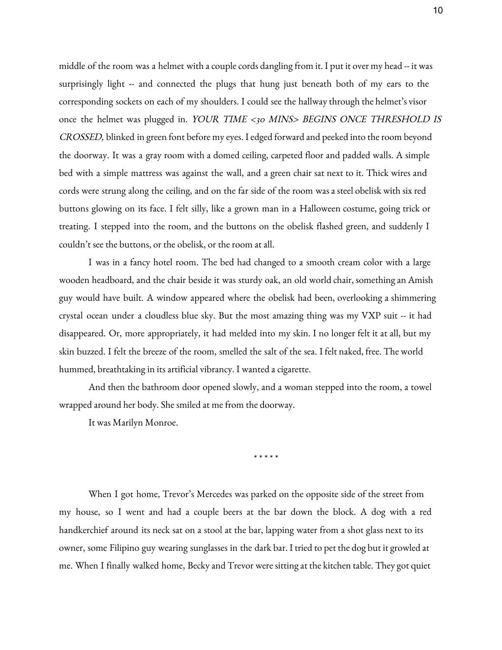middle of the room was a helmet with a couple cords dangling from it. I put it over my head -- it was surprisingly light -- and connected the plugs that hung just beneath both of my ears to the corresponding sockets on each of my shoulders. I could see the hallway through the helmet's visor once the helmet was plugged in. YOUR TIME <30 MINS> BEGINS ONCE THRESHOLD IS CROSSED, blinked in green font before my eyes. I edged forward and peeked into the room beyond the doorway. It was a gray room with a domed ceiling, carpeted floor and padded walls. A simple bed with a simple mattress was against the wall, and a green chair sat next to it. Thick wires and cords were strung along the ceiling, and on the far side of the room was a steel obelisk with six red buttons glowing on its face. I felt silly, like a grown man in a Halloween costume, going trick or treating. I stepped into the room, and the buttons on the obelisk flashed green, and suddenly I couldn't see the buttons, or the obelisk, or the room at all.

I was in a fancy hotel room. The bed had changed to a smooth cream color with a large wooden headboard, and the chair beside it was sturdy oak, an old world chair, something an Amish guy would have built. A window appeared where the obelisk had been, overlooking a shimmering crystal ocean under a cloudless blue sky. But the most amazing thing was my VXP suit -- it had disappeared. Or, more appropriately, it had melded into my skin. I no longer felt it at all, but my skin buzzed. I felt the breeze of the room, smelled the salt of the sea. I felt naked, free. The world hummed, breathtaking in its artificial vibrancy. I wanted a cigarette.

And then the bathroom door opened slowly, and a woman stepped into the room, a towel wrapped around her body. She smiled at me from the doorway.

It was Marilyn Monroe.

\* \* \* \* \*

When I got home, Trevor's Mercedes was parked on the opposite side of the street from my house, so I went and had a couple beers at the bar down the block. A dog with a red handkerchief around its neck sat on a stool at the bar, lapping water from a shot glass next to its owner, some Filipino guy wearing sunglasses in the dark bar. I tried to pet the dog but it growled at me. When I finally walked home, Becky and Trevor were sitting at the kitchen table. They got quiet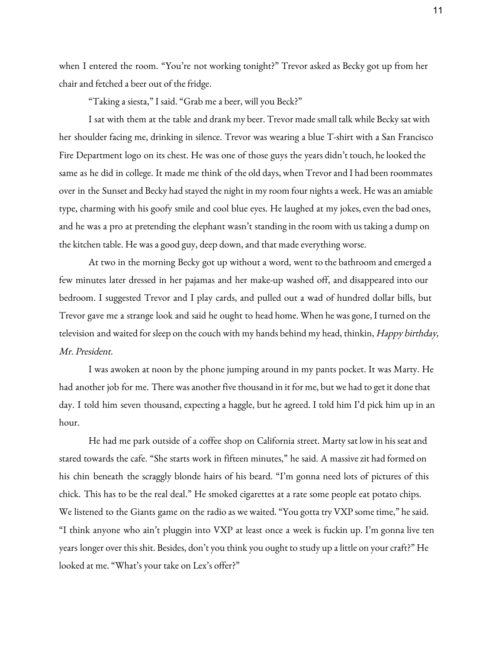when I entered the room. "You're not working tonight?" Trevor asked as Becky got up from her chair and fetched a beer out of the fridge.

"Taking a siesta," I said. "Grab me a beer, will you Beck?"

I sat with them at the table and drank my beer. Trevor made small talk while Becky sat with her shoulder facing me, drinking in silence. Trevor was wearing a blue T-shirt with a San Francisco Fire Department logo on its chest. He was one of those guys the years didn't touch, he looked the same as he did in college. It made me think of the old days, when Trevor and I had been roommates over in the Sunset and Becky had stayed the night in my room four nights a week. He was an amiable type, charming with his goofy smile and cool blue eyes. He laughed at my jokes, even the bad ones, and he was a pro at pretending the elephant wasn't standing in the room with us taking a dump on the kitchen table. He was a good guy, deep down, and that made everything worse.

At two in the morning Becky got up without a word, went to the bathroom and emerged a few minutes later dressed in her pajamas and her make-up washed off, and disappeared into our bedroom. I suggested Trevor and I play cards, and pulled out a wad of hundred dollar bills, but Trevor gave me a strange look and said he ought to head home. When he was gone, I turned on the television and waited for sleep on the couch with my hands behind my head, thinkin, Happy birthday, Mr. President.

I was awoken at noon by the phone jumping around in my pants pocket. It was Marty. He had another job for me. There was another five thousand in it for me, but we had to get it done that day. I told him seven thousand, expecting a haggle, but he agreed. I told him I'd pick him up in an hour.

He had me park outside of a coffee shop on California street. Marty sat low in his seat and stared towards the cafe. "She starts work in fifteen minutes," he said. A massive zit had formed on his chin beneath the scraggly blonde hairs of his beard. "I'm gonna need lots of pictures of this chick. This has to be the real deal." He smoked cigarettes at a rate some people eat potato chips. We listened to the Giants game on the radio as we waited. "You gotta try VXP some time," he said. "I think anyone who ain't pluggin into VXP at least once a week is fuckin up. I'm gonna live ten years longer over this shit. Besides, don't you think you ought to study up a little on your craft?" He looked at me. "What's your take on Lex's offer?"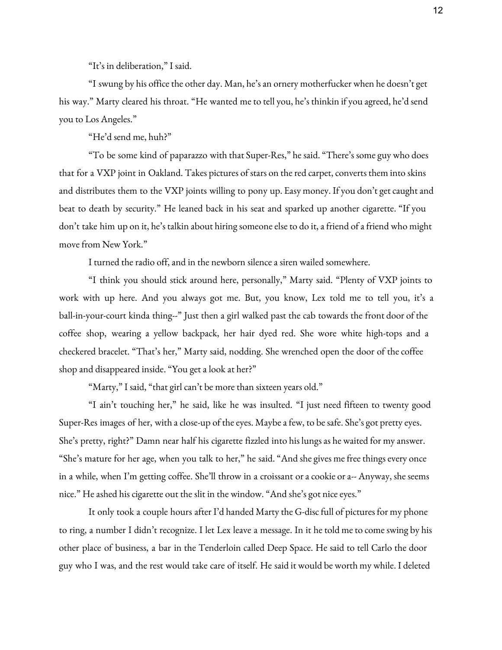"It's in deliberation," I said.

"I swung by his office the other day. Man, he's an ornery motherfucker when he doesn't get his way." Marty cleared his throat. "He wanted me to tell you, he's thinkin if you agreed, he'd send you to Los Angeles."

"He'd send me, huh?"

"To be some kind of paparazzo with that Super-Res," hesaid. "There's some guy who does that for a VXP joint in Oakland. Takes pictures of stars on the red carpet, converts them into skins and distributes them to the VXP joints willing to pony up. Easy money. If you don't get caught and beat to death by security." He leaned back in his seat and sparked up another cigarette. "If you don't take him up on it, he's talkin about hiring someone else to do it, a friend of a friend who might move from New York."

I turned the radio off, and in the newborn silence a siren wailed somewhere.

"I think you should stick around here, personally," Marty said. "Plenty of VXP joints to work with up here. And you always got me. But, you know, Lex told me to tell you, it's a ball-in-your-court kinda thing--" Just then a girl walked past the cab towards the front door of the coffee shop, wearing a yellow backpack, her hair dyed red. She wore white high-tops and a checkered bracelet. "That's her," Marty said, nodding. She wrenched open the door of the coffee shop and disappeared inside. "You get a look at her?"

"Marty," I said, "that girl can't be more than sixteen years old."

"I ain't touching her," he said, like he was insulted. "I just need fifteen to twenty good Super-Res images of her, with a close-up of the eyes. Maybe a few, to be safe. She's got pretty eyes. She's pretty, right?" Damn near half his cigarette fizzled into his lungs as he waited for my answer. "She's mature for her age, when you talk to her," he said. "And she gives me free things every once in a while, when I'm getting coffee. She'll throw in a croissant or a cookie or a-- Anyway, she seems nice." He ashed his cigarette out the slit in the window. "And she's got nice eyes."

It only took a couple hours after I'd handed Marty the G-discfull of pictures for my phone to ring, a number I didn't recognize. I let Lex leave a message. In it he told me to come swing by his other place of business, a bar in the Tenderloin called Deep Space. He said to tell Carlo the door guy who I was, and the rest would take care of itself. He said it would be worth my while. I deleted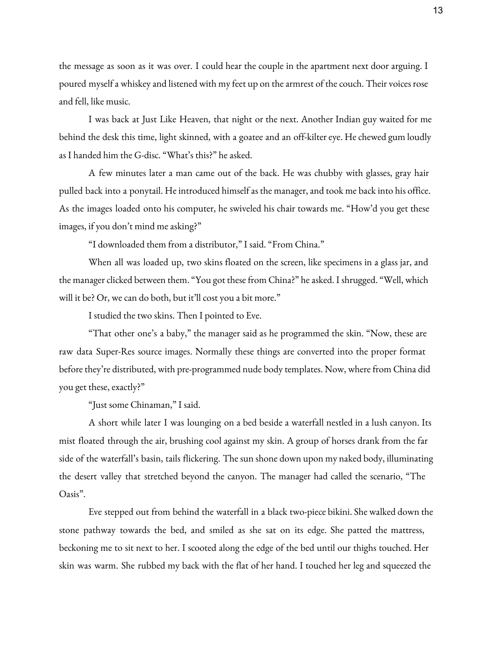the message as soon as it was over. I could hear the couple in the apartment next door arguing. I poured myself a whiskey and listened with my feet up on the armrest of the couch. Their voices rose and fell, like music.

I was back at Just Like Heaven, that night or the next. Another Indian guy waited for me behind the desk this time, light skinned, with a goatee and an off-kilter eye. He chewed gum loudly as I handed him the G-disc. "What's this?" he asked.

A few minutes later a man came out of the back. He was chubby with glasses, gray hair pulled back into a ponytail. He introduced himself as the manager, and took me back into his office. As the images loaded onto his computer, he swiveled his chair towards me. "How'd you get these images, if you don't mind me asking?"

"I downloaded them from a distributor," I said. "From China."

When all was loaded up, two skins floated on the screen, like specimens in a glass jar, and the manager clicked between them. "You got these from China?" he asked. I shrugged. "Well, which will it be? Or, we can do both, but it'll cost you a bit more."

I studied the two skins. Then I pointed to Eve.

"That other one's a baby," the manager said as he programmed the skin. "Now, these are raw data Super-Res source images. Normally these things are converted into the proper format before they're distributed, with pre-programmed nude body templates. Now, where from China did you get these, exactly?"

"Just some Chinaman," I said.

A short while later I was lounging on a bed beside a waterfall nestled in a lush canyon. Its mist floated through the air, brushing cool against my skin. A group of horses drank from the far side of the waterfall's basin, tails flickering. The sun shone down upon my naked body, illuminating the desert valley that stretched beyond the canyon. The manager had called the scenario, "The Oasis".

Eve stepped out from behind the waterfall in a black two-piece bikini. She walked down the stone pathway towards the bed, and smiled as she sat on its edge. She patted the mattress, beckoning me to sit next to her. I scooted along the edge of the bed until our thighs touched. Her skin was warm. She rubbed my back with the flat of her hand. I touched her leg and squeezed the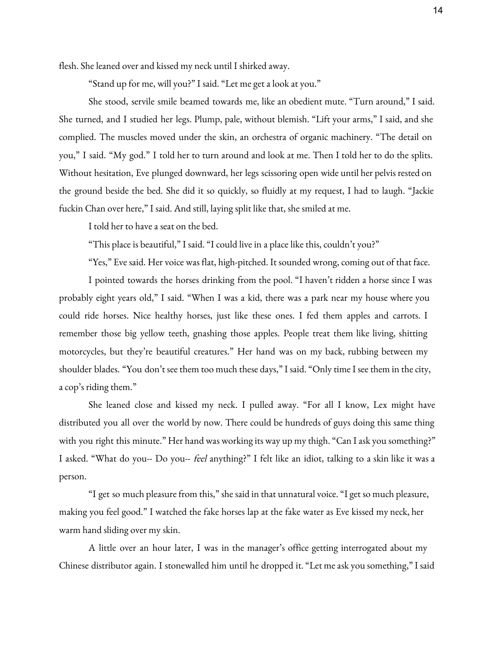flesh. She leaned over and kissed my neck until I shirked away.

"Stand up for me, will you?" I said. "Let me get a look at you."

She stood, servile smile beamed towards me, like an obedient mute. "Turn around," I said. She turned, and I studied her legs. Plump, pale, without blemish. "Lift your arms," I said, and she complied. The muscles moved under the skin, an orchestra of organic machinery. "The detail on you," I said. "My god." I told her to turn around and look at me. Then I told her to do the splits. Without hesitation, Eve plunged downward, her legs scissoring open wide until her pelvis rested on the ground beside the bed. She did it so quickly, so fluidly at my request, I had to laugh. "Jackie fuckin Chan over here," I said. And still, laying split like that, she smiled at me.

I told her to have a seat on the bed.

"This place is beautiful," I said. "I could live in a place like this, couldn't you?"

"Yes," Eve said. Her voice was flat, high-pitched. It sounded wrong, coming out of that face.

I pointed towards the horses drinking from the pool. "I haven't ridden a horse since I was probably eight years old," I said. "When I was a kid, there was a park near my house where you could ride horses. Nice healthy horses, just like these ones. I fed them apples and carrots. I remember those big yellow teeth, gnashing those apples. People treat them like living, shitting motorcycles, but they're beautiful creatures." Her hand was on my back, rubbing between my shoulder blades. "You don't see them too much these days," I said. "Only time I see them in the city, a cop's riding them."

She leaned close and kissed my neck. I pulled away. "For all I know, Lex might have distributed you all over the world by now. There could be hundreds of guys doing this same thing with you right this minute." Her hand was working its way up my thigh. "Can I ask you something?" I asked. "What do you-- Do you-- feel anything?" I felt like an idiot, talking to a skin like it was a person.

"I get so much pleasure from this," she said in that unnatural voice. "I get so much pleasure, making you feel good." I watched the fake horses lap at the fake water as Eve kissed my neck, her warm hand sliding over my skin.

A little over an hour later, I was in the manager's office getting interrogated about my Chinese distributor again. I stonewalled him until he dropped it. "Let me ask you something," I said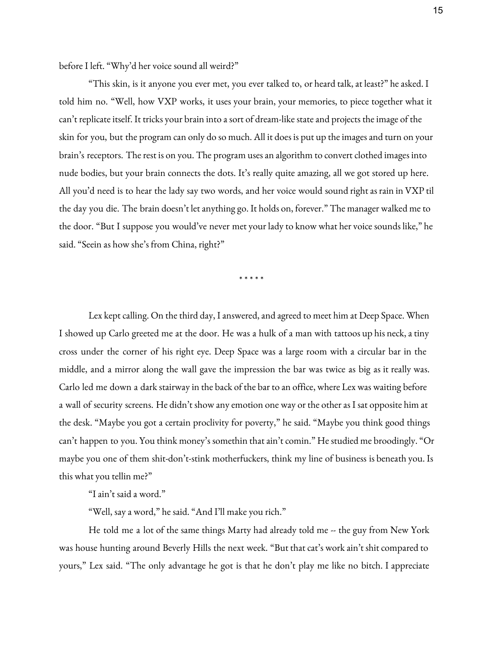before I left. "Why'd her voice sound all weird?"

"This skin, is it anyone you ever met, you ever talked to, or heard talk, at least?" he asked. I told him no. "Well, how VXP works, it uses your brain, your memories, to piece together what it can't replicate itself. It tricks your brain into a sort of dream-like state and projects the image of the skin for you, but the program can only do so much. All it does is put up the images and turn on your brain's receptors. The rest is on you. The program uses an algorithm to convert clothed images into nude bodies, but your brain connects the dots. It's really quite amazing, all we got stored up here. All you'd need is to hear the lady say two words, and her voice would sound right as rain in VXP til the day you die. The brain doesn't let anything go. It holds on, forever." The manager walked me to the door. "But I suppose you would've never met your lady to know what her voice sounds like," he said. "Seein as how she's from China, right?"

\* \* \* \* \*

Lex kept calling. On the third day, I answered, and agreed to meet him at Deep Space. When I showed up Carlo greeted me at the door. He was a hulk of a man with tattoos up his neck, a tiny cross under the corner of his right eye. Deep Space was a large room with a circular bar in the middle, and a mirror along the wall gave the impression the bar was twice as big as it really was. Carlo led me down a dark stairway in the back of the bar to an office, where Lex was waiting before a wall of security screens. He didn't show any emotion one way or the other as I sat opposite him at the desk. "Maybe you got a certain proclivity for poverty," he said. "Maybe you think good things can't happen to you. You think money's somethin that ain't comin." He studied me broodingly. "Or maybe you one of them shit-don't-stink motherfuckers, think my line of business is beneath you. Is this what you tellin me?"

"I ain't said a word."

"Well, say a word," he said. "And I'll make you rich."

He told me a lot of the same things Marty had already told me -- the guy from New York was house hunting around Beverly Hills the next week. "But that cat's work ain't shit compared to yours," Lex said. "The only advantage he got is that he don't play me like no bitch. I appreciate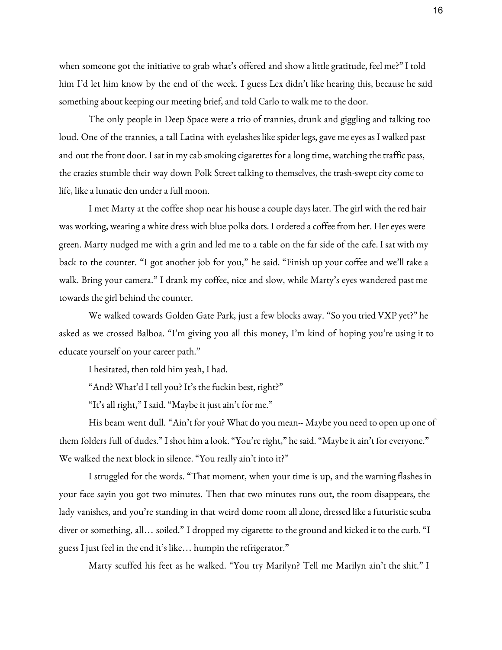when someone got the initiative to grab what's offered and show a little gratitude, feel me?" I told him I'd let him know by the end of the week. I guess Lex didn't like hearing this, because he said something about keeping our meeting brief, and told Carlo to walk me to the door.

The only people in Deep Space were a trio of trannies, drunk and giggling and talking too loud. One of the trannies, a tall Latina with eyelashes like spider legs, gave me eyes as I walked past and out the front door. I sat in my cab smoking cigarettes for a long time, watching the traffic pass, the crazies stumble their way down Polk Street talking to themselves, the trash-swept city come to life, like a lunatic den under a full moon.

I met Marty at the coffee shop near his house a couple days later. The girl with the red hair was working, wearing a white dress with blue polka dots. I ordered a coffee from her. Her eyes were green. Marty nudged me with a grin and led me to a table on the far side of the cafe. I sat with my back to the counter. "I got another job for you," he said. "Finish up your coffee and we'll take a walk. Bring your camera." I drank my coffee, nice and slow, while Marty's eyes wandered past me towards the girl behind the counter.

We walked towards Golden Gate Park, just a few blocks away. "So you tried VXP yet?" he asked as we crossed Balboa. "I'm giving you all this money, I'm kind of hoping you're using it to educate yourself on your career path."

I hesitated, then told him yeah, I had.

"And? What'd I tell you? It's the fuckin best, right?"

"It's all right," I said. "Maybe it just ain't for me."

His beam went dull. "Ain't for you? What do you mean-- Maybe you need to open up one of them folders full of dudes." I shot him a look. "You're right," he said. "Maybe it ain't for everyone." We walked the next block in silence. "You really ain't into it?"

I struggled for the words. "That moment, when your time is up, and the warning flashes in your face sayin you got two minutes. Then that two minutes runs out, the room disappears, the lady vanishes, and you're standing in that weird dome room all alone, dressed like a futuristic scuba diver or something, all... soiled." I dropped my cigarette to the ground and kicked it to the curb. "I guess I just feel in the end it's like… humpin the refrigerator."

Marty scuffed his feet as he walked. "You try Marilyn? Tell me Marilyn ain't the shit." I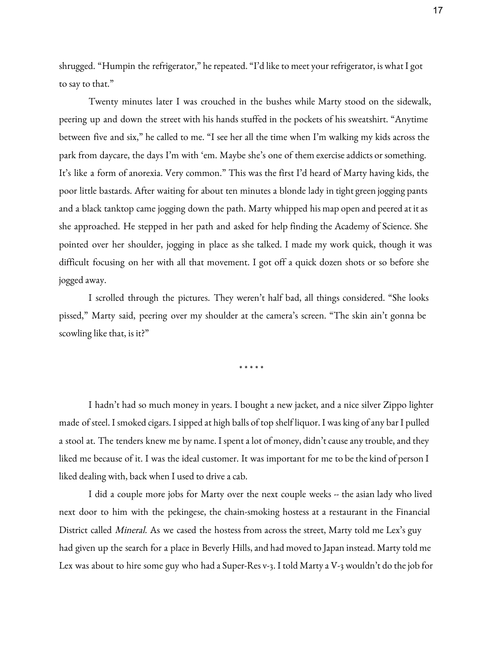shrugged. "Humpin the refrigerator," he repeated. "I'd like to meet your refrigerator, is what I got to say to that."

Twenty minutes later I was crouched in the bushes while Marty stood on the sidewalk, peering up and down the street with his hands stuffed in the pockets of his sweatshirt. "Anytime between five and six," he called to me. "I see her all the time when I'm walking my kids across the park from daycare, the days I'm with 'em. Maybe she's one of them exercise addicts or something. It's like a form of anorexia. Very common." This was the first I'd heard of Marty having kids, the poor little bastards. After waiting for about ten minutes a blonde lady in tight green jogging pants and a black tanktop came jogging down the path. Marty whipped his map open and peered at it as she approached. He stepped in her path and asked for help finding the Academy of Science. She pointed over her shoulder, jogging in place as she talked. I made my work quick, though it was difficult focusing on her with all that movement. I got off a quick dozen shots or so before she jogged away.

I scrolled through the pictures. They weren't half bad, all things considered. "She looks pissed," Marty said, peering over my shoulder at the camera's screen. "The skin ain't gonna be scowling like that, is it?"

\* \* \* \* \*

I hadn't had so much money in years. I bought a new jacket, and a nice silver Zippo lighter made of steel. I smoked cigars. I sipped at high balls of top shelf liquor. I was king of any bar I pulled a stool at. The tenders knew me by name. I spent a lot of money, didn't cause any trouble, and they liked me because of it. I was the ideal customer. It was important for me to be the kind of person I liked dealing with, back when I used to drive a cab.

I did a couple more jobs for Marty over the next couple weeks -- the asian lady who lived next door to him with the pekingese, the chain-smoking hostess at a restaurant in the Financial District called Mineral. As we cased the hostess from across the street, Marty told me Lex's guy had given up the search for a place in Beverly Hills, and had moved to Japan instead. Marty told me Lex was about to hire some guy who had a Super-Res v-3. I told Marty a V-3 wouldn't do the job for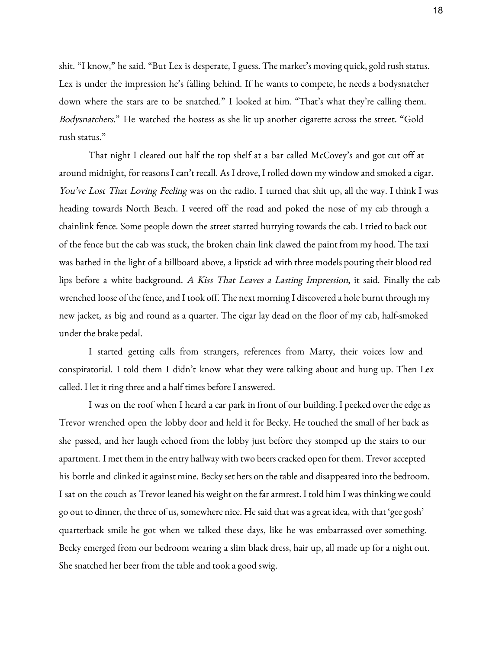shit. "I know," he said. "But Lex is desperate, I guess. The market's moving quick, gold rush status. Lex is under the impression he's falling behind. If he wants to compete, he needs a bodysnatcher down where the stars are to be snatched." I looked at him. "That's what they're calling them. Bodysnatchers." He watched the hostess as she lit up another cigarette across the street. "Gold rush status."

That night I cleared out half the top shelf at a bar called McCovey's and got cut off at around midnight, for reasons I can't recall. As I drove, I rolled down my window and smoked a cigar. You've Lost That Loving Feeling was on the radio. I turned that shit up, all the way. I think I was heading towards North Beach. I veered off the road and poked the nose of my cab through a chainlink fence. Some people down the street started hurrying towards the cab. I tried to back out of the fence but the cab was stuck, the broken chain link clawed the paint from my hood. The taxi was bathed in the light of a billboard above, a lipstick ad with three models pouting their blood red lips before a white background. <sup>A</sup> Kiss That Leaves <sup>a</sup> Lasting Impression, it said. Finally the cab wrenched loose of the fence, and I took off. The next morning I discovered a hole burnt through my new jacket, as big and round as a quarter. The cigar lay dead on the floor of my cab, half-smoked under the brake pedal.

I started getting calls from strangers, references from Marty, their voices low and conspiratorial. I told them I didn't know what they were talking about and hung up. Then Lex called. I let it ring three and a half times before I answered.

I was on the roof when I heard a car park in front of our building. I peeked over the edge as Trevor wrenched open the lobby door and held it for Becky. He touched the small of her back as she passed, and her laugh echoed from the lobby just before they stomped up the stairs to our apartment. I met them in the entry hallway with two beers cracked open for them. Trevor accepted his bottle and clinked it against mine. Becky set hers on the table and disappeared into the bedroom. I sat on the couch as Trevor leaned his weight on the far armrest. I told him I was thinking we could go out to dinner, the three of us, somewhere nice. He said that was a great idea, with that 'gee gosh' quarterback smile he got when we talked these days, like he was embarrassed over something. Becky emerged from our bedroom wearing a slim black dress, hair up, all made up for a night out. She snatched her beer from the table and took a good swig.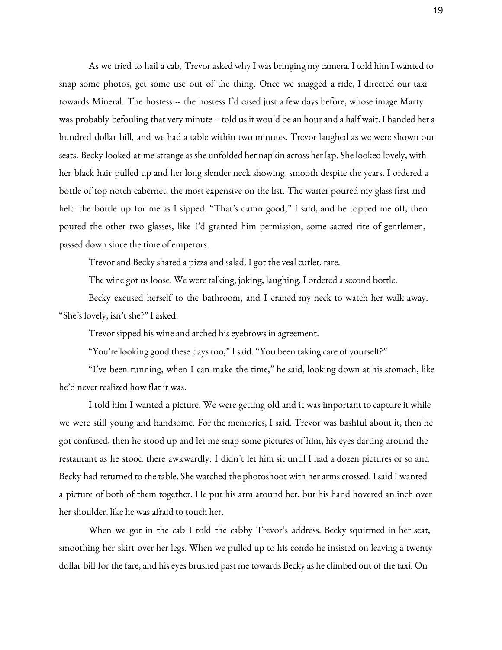As we tried to hail a cab, Trevor asked why I was bringing my camera. I told him I wanted to snap some photos, get some use out of the thing. Once we snagged a ride, I directed our taxi towards Mineral. The hostess -- the hostess I'd cased just a few days before, whose image Marty was probably befouling that very minute -- told us it would be an hour and a half wait. I handed her a hundred dollar bill, and we had a table within two minutes. Trevor laughed as we were shown our seats. Becky looked at me strange as she unfolded her napkin across her lap. She looked lovely, with her black hair pulled up and her long slender neck showing, smooth despite the years. I ordered a bottle of top notch cabernet, the most expensive on the list. The waiter poured my glass first and held the bottle up for me as I sipped. "That's damn good," I said, and he topped me off, then poured the other two glasses, like I'd granted him permission, some sacred rite of gentlemen, passed down since the time of emperors.

Trevor and Becky shared a pizza and salad. I got the veal cutlet, rare.

The wine got us loose. We were talking, joking, laughing. I ordered a second bottle.

Becky excused herself to the bathroom, and I craned my neck to watch her walk away. "She's lovely, isn't she?" I asked.

Trevor sipped his wine and arched his eyebrows in agreement.

"You're looking good these days too," I said. "You been taking care of yourself?"

"I've been running, when I can make the time," he said, looking down at his stomach, like he'd never realized how flat it was.

I told him I wanted a picture. We were getting old and it was important to capture it while we were still young and handsome. For the memories, I said. Trevor was bashful about it, then he got confused, then he stood up and let me snap some pictures of him, his eyes darting around the restaurant as he stood there awkwardly. I didn't let him sit until I had a dozen pictures or so and Becky had returned to the table. She watched the photoshoot with her arms crossed. I said I wanted a picture of both of them together. He put his arm around her, but his hand hovered an inch over her shoulder, like he was afraid to touch her.

When we got in the cab I told the cabby Trevor's address. Becky squirmed in her seat, smoothing her skirt over her legs. When we pulled up to his condo he insisted on leaving a twenty dollar bill for the fare, and his eyes brushed past me towards Becky as he climbed out of the taxi. On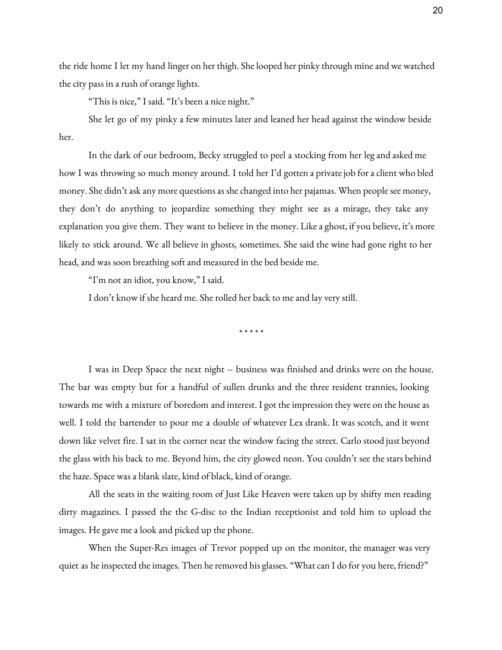the ride home I let my hand linger on her thigh. She looped her pinky through mine and we watched the city pass in a rush of orange lights.

"This is nice," I said. "It's been a nice night."

She let go of my pinky a few minutes later and leaned her head against the window beside her.

In the dark of our bedroom, Becky struggled to peel a stocking from her leg and asked me how I was throwing so much money around. I told her I'd gotten a private job for a client who bled money. She didn't ask any more questions as she changed into her pajamas. When people see money, they don't do anything to jeopardize something they might see as a mirage, they take any explanation you give them. They want to believe in the money. Like a ghost, if you believe, it's more likely to stick around. We all believe in ghosts, sometimes. She said the wine had gone right to her head, and was soon breathing soft and measured in the bed beside me.

"I'm not an idiot, you know," I said.

I don't know if she heard me. She rolled her back to me and lay very still.

\* \* \* \* \*

I was in Deep Space the next night -- business was finished and drinks were on the house. The bar was empty but for a handful of sullen drunks and the three resident trannies, looking towards me with a mixture of boredom and interest. I got the impression they were on the house as well. I told the bartender to pour me a double of whatever Lex drank. It was scotch, and it went down like velvet fire. I sat in the corner near the window facing the street. Carlo stood just beyond the glass with his back to me. Beyond him, the city glowed neon. You couldn't see the stars behind the haze. Space was a blank slate, kind of black, kind of orange.

All the seats in the waiting room of Just Like Heaven were taken up by shifty men reading dirty magazines. I passed the the G-disc to the Indian receptionist and told him to upload the images. He gave me a look and picked up the phone.

When the Super-Res images of Trevor popped up on the monitor, the manager was very quiet as he inspected the images. Then he removed his glasses. "What can I do for you here, friend?"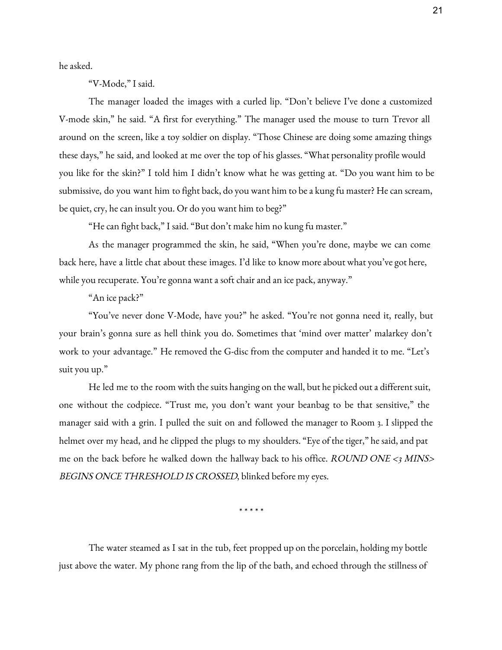he asked.

"V-Mode," I said.

The manager loaded the images with a curled lip. "Don't believe I've done a customized V-mode skin," he said. "A first for everything." The manager used the mouse to turn Trevor all around on the screen, like a toy soldier on display. "Those Chinese are doing some amazing things these days," he said, and looked at me over the top of his glasses. "What personality profile would you like for the skin?" I told him I didn't know what he was getting at. "Do you want him to be submissive, do you want him to fight back, do you want him to be a kung fu master? He can scream, be quiet, cry, he can insult you. Or do you want him to beg?"

"He can fight back," I said. "But don't make him no kung fu master."

As the manager programmed the skin, he said, "When you're done, maybe we can come back here, have a little chat about these images. I'd like to know moreabout what you've got here, while you recuperate. You're gonna want a soft chair and an ice pack, anyway."

"An ice pack?"

"You've never done V-Mode, have you?" he asked. "You're not gonna need it, really, but your brain's gonna sure as hell think you do. Sometimes that 'mind over matter' malarkey don't work to your advantage." He removed the G-disc from the computer and handed it to me. "Let's suit you up."

He led me to the room with the suits hanging on the wall, but he picked out a different suit, one without the codpiece. "Trust me, you don't want your beanbag to be that sensitive," the manager said with a grin. I pulled the suit on and followed the manager to Room 3. I slipped the helmet over my head, and he clipped the plugs to my shoulders. "Eye of the tiger," he said, and pat me on the back before he walked down the hallway back to his office.  $\textit{ROUND ONE} \leq 3 \textit{ MINS}$ BEGINS ONCE THRESHOLD IS CROSSED, blinked before my eyes.

\* \* \* \* \*

The water steamed as I sat in the tub, feet propped up on the porcelain, holding my bottle just above the water. My phone rang from the lip of the bath, and echoed through the stillness of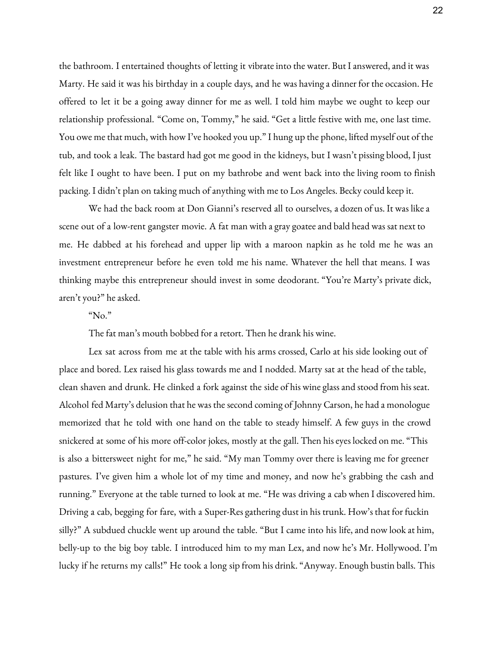the bathroom. I entertained thoughts of letting it vibrate into the water. But I answered, and it was Marty. He said it was his birthday in a couple days, and he was having a dinner for the occasion. He offered to let it be a going away dinner for me as well. I told him maybe we ought to keep our relationship professional. "Come on, Tommy," he said. "Get a little festive with me, one last time. You owe me that much, with how I've hooked you up." I hung up the phone, lifted myself out of the tub, and took a leak. The bastard had got me good in the kidneys, but I wasn't pissing blood, I just felt like I ought to have been. I put on my bathrobe and went back into the living room to finish packing. I didn't plan on taking much of anything with me to Los Angeles. Becky could keep it.

We had the back room at Don Gianni's reserved all to ourselves, a dozen of us. It was like a scene out of a low-rent gangster movie. A fat man with a gray goatee and bald head was sat next to me. He dabbed at his forehead and upper lip with a maroon napkin as he told me he was an investment entrepreneur before he even told me his name. Whatever the hell that means. I was thinking maybe this entrepreneur should invest in some deodorant. "You're Marty's private dick, aren't you?" he asked.

## "No."

The fat man's mouth bobbed for a retort. Then he drank his wine.

Lex sat across from me at the table with his arms crossed, Carlo at his side looking out of place and bored. Lex raised his glass towards me and I nodded. Marty sat at the head of the table, clean shaven and drunk. He clinked a fork against the side of his wine glassand stood from his seat. Alcohol fed Marty's delusion that he was the second coming of Johnny Carson, he had a monologue memorized that he told with one hand on the table to steady himself. A few guys in the crowd snickered at some of his more off-color jokes, mostly at the gall. Then hiseyes locked on me. "This is also a bittersweet night for me," he said. "My man Tommy over there is leaving me for greener pastures. I've given him a whole lot of my time and money, and now he's grabbing the cash and running." Everyone at the table turned to look at me. "He was driving a cab when I discovered him. Driving a cab, begging for fare, with a Super-Res gathering dust in his trunk. How's that for fuckin silly?" A subdued chuckle went up around the table. "But I came into his life, and now look at him, belly-up to the big boy table. I introduced him to my man Lex, and now he's Mr. Hollywood. I'm lucky if he returns my calls!" He took a long sip from his drink. "Anyway. Enough bustin balls. This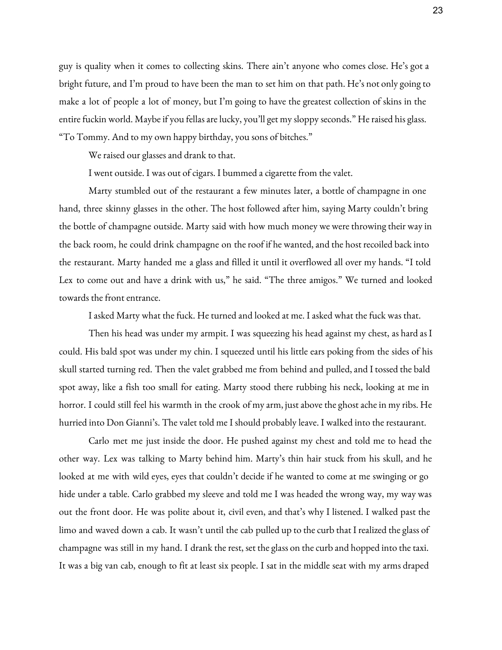guy is quality when it comes to collecting skins. There ain't anyone who comes close. He's got a bright future, and I'm proud to have been the man to set him on that path. He's not only going to make a lot of people a lot of money, but I'm going to have the greatest collection of skins in the entire fuckin world. Maybe if you fellas are lucky, you'll get my sloppy seconds." He raised his glass. "To Tommy. And to my own happy birthday, you sons of bitches."

We raised our glasses and drank to that.

I went outside. I was out of cigars. I bummed a cigarette from the valet.

Marty stumbled out of the restaurant a few minutes later, a bottle of champagne in one hand, three skinny glasses in the other. The host followed after him, saying Marty couldn't bring the bottle of champagne outside. Marty said with how much money we were throwing their way in the back room, he could drink champagne on the roof if he wanted, and the host recoiled back into the restaurant. Marty handed me a glass and filled it until it overflowed all over my hands. "I told Lex to come out and have a drink with us," he said. "The three amigos." We turned and looked towards the front entrance.

I asked Marty what the fuck. He turned and looked at me. I asked what the fuck was that.

Then his head was under my armpit. I was squeezing his head against my chest, as hard as I could. His bald spot was under my chin. I squeezed until his little ears poking from the sides of his skull started turning red. Then the valet grabbed me from behind and pulled, and I tossed the bald spot away, like a fish too small for eating. Marty stood there rubbing his neck, looking at me in horror. I could still feel his warmth in the crook of my arm, just above the ghost ache in my ribs. He hurried into Don Gianni's. The valet told me I should probably leave. I walked into the restaurant.

Carlo met me just inside the door. He pushed against my chest and told me to head the other way. Lex was talking to Marty behind him. Marty's thin hair stuck from his skull, and he looked at me with wild eyes, eyes that couldn't decide if he wanted to come at me swinging or go hide under a table. Carlo grabbed my sleeve and told me I was headed the wrong way, my way was out the front door. He was polite about it, civil even, and that's why I listened. I walked past the limo and waved down a cab. It wasn't until the cab pulled up to the curb that I realized the glass of champagne was still in my hand. I drank the rest, set the glass on the curb and hopped into the taxi. It was a big van cab, enough to fit at least six people. I sat in the middle seat with my arms draped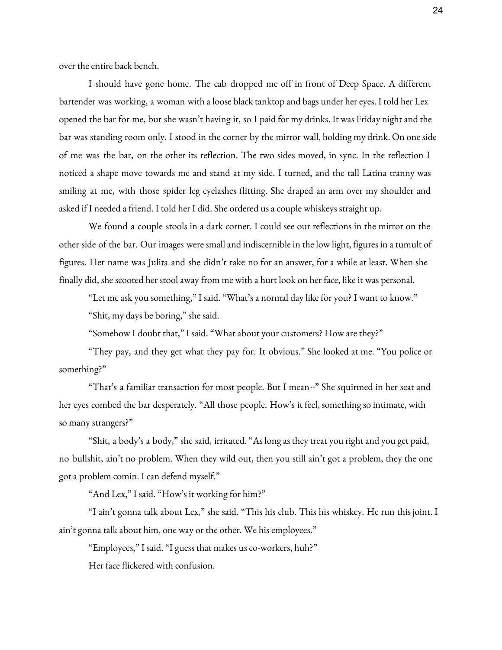over the entire back bench.

I should have gone home. The cab dropped me off in front of Deep Space. A different bartender was working, a woman with aloose black tanktop and bags under hereyes. I told her Lex opened the bar for me, but she wasn't having it, so I paid for my drinks. It was Friday night and the bar was standing room only. I stood in the corner by the mirror wall, holding my drink. On oneside of me was the bar, on the other its reflection. The two sides moved, in sync. In the reflection I noticed a shape move towards me and stand at my side. I turned, and the tall Latina tranny was smiling at me, with those spider leg eyelashes flitting. She draped an arm over my shoulder and asked if I needed a friend. I told her I did. She ordered us a couple whiskeys straight up.

We found a couple stools in a dark corner. I could see our reflections in the mirror on the other side of the bar. Our images were small and indiscernible in the low light, figures in a tumult of figures. Her name was Julita and she didn't take no for an answer, for a while at least. When she finally did, she scooted her stool away from me with a hurt look on her face, like it was personal.

"Let me ask you something," I said. "What's a normal day like for you? I want to know."

"Shit, my days be boring," she said.

"Somehow I doubt that," I said. "What about your customers? How are they?"

"They pay, and they get what they pay for. It obvious." She looked at me. "You police or something?"

"That's a familiar transaction for most people. But I mean--" She squirmed in her seat and her eyes combed the bar desperately. "All those people. How's it feel, something so intimate, with so many strangers?"

"Shit, a body's a body," she said, irritated. "As long as they treat you right and you get paid, no bullshit, ain't no problem. When they wild out, then you still ain't got a problem, they the one got a problem comin. I can defend myself."

"And Lex," I said. "How's it working for him?"

"I ain't gonna talk about Lex," she said. "This his club. This his whiskey. He run this joint. I ain't gonna talk about him, one way or the other. We his employees."

"Employees," I said. "I guess that makes us co-workers, huh?" Her face flickered with confusion.